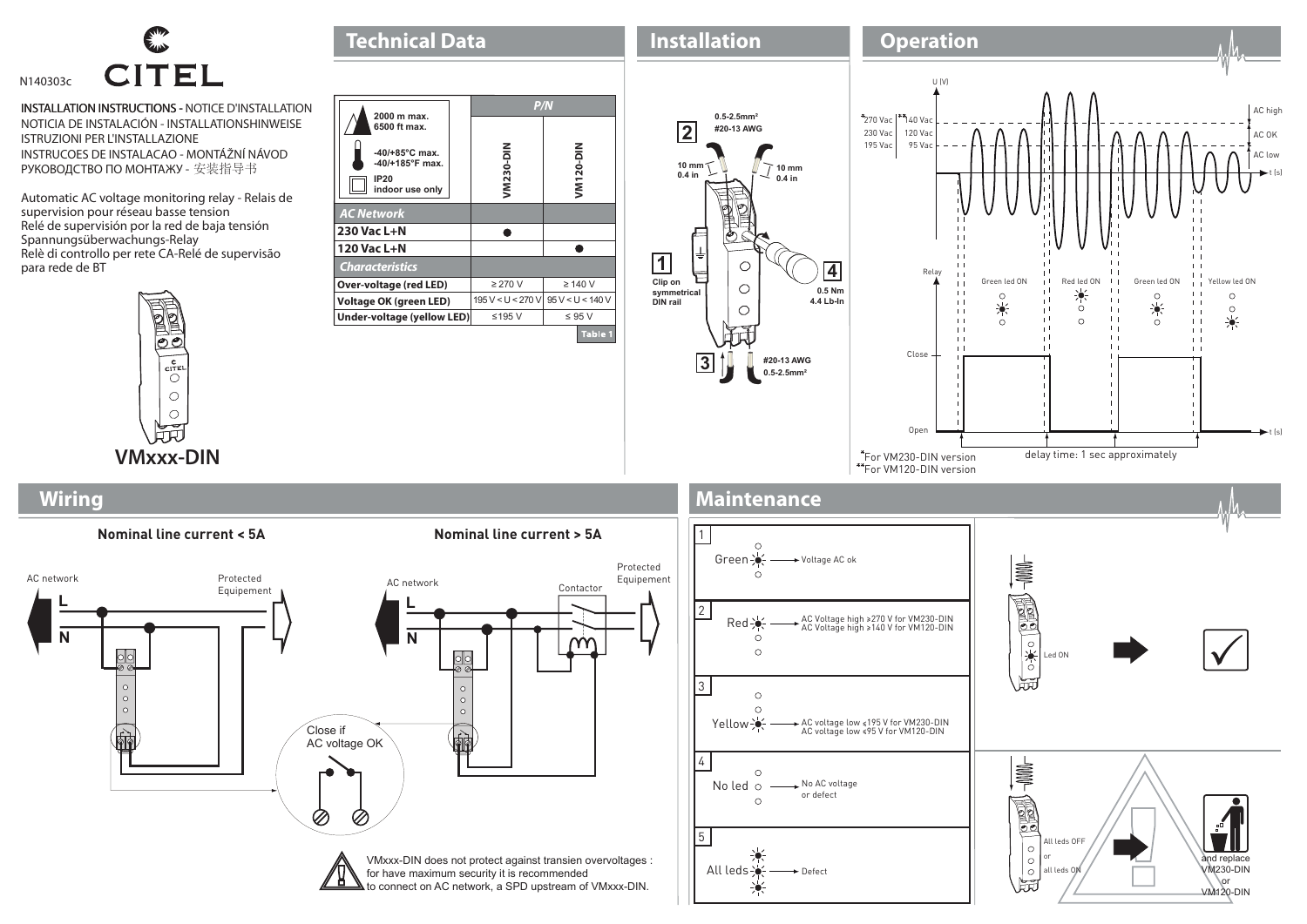

INSTALLATION INSTRUCTIONS - NOTICE D'INSTALLATION INSTRUCTIONS - NOTICIA DE INSTALACIÓN - INSTALLATIONSHINWEISE ISTRUZIONI PER L'INSTALLAZIONE INSTRUCOES DE INSTALACAO - MONTÁŽNÍ NÁVOD РУКОВОДСТВО ПО МОНТАЖУ - 安装指导书

Automatic AC voltage monitoring relay - Relais de supervision pour réseau basse tension Relé de supervisión por la red de baja tensión Spannungsüberwachungs-Relay Relè di controllo per rete CA-Relé de supervisão para rede de BT



**Wiring**



**Technical Data** 



## **Maintenance**